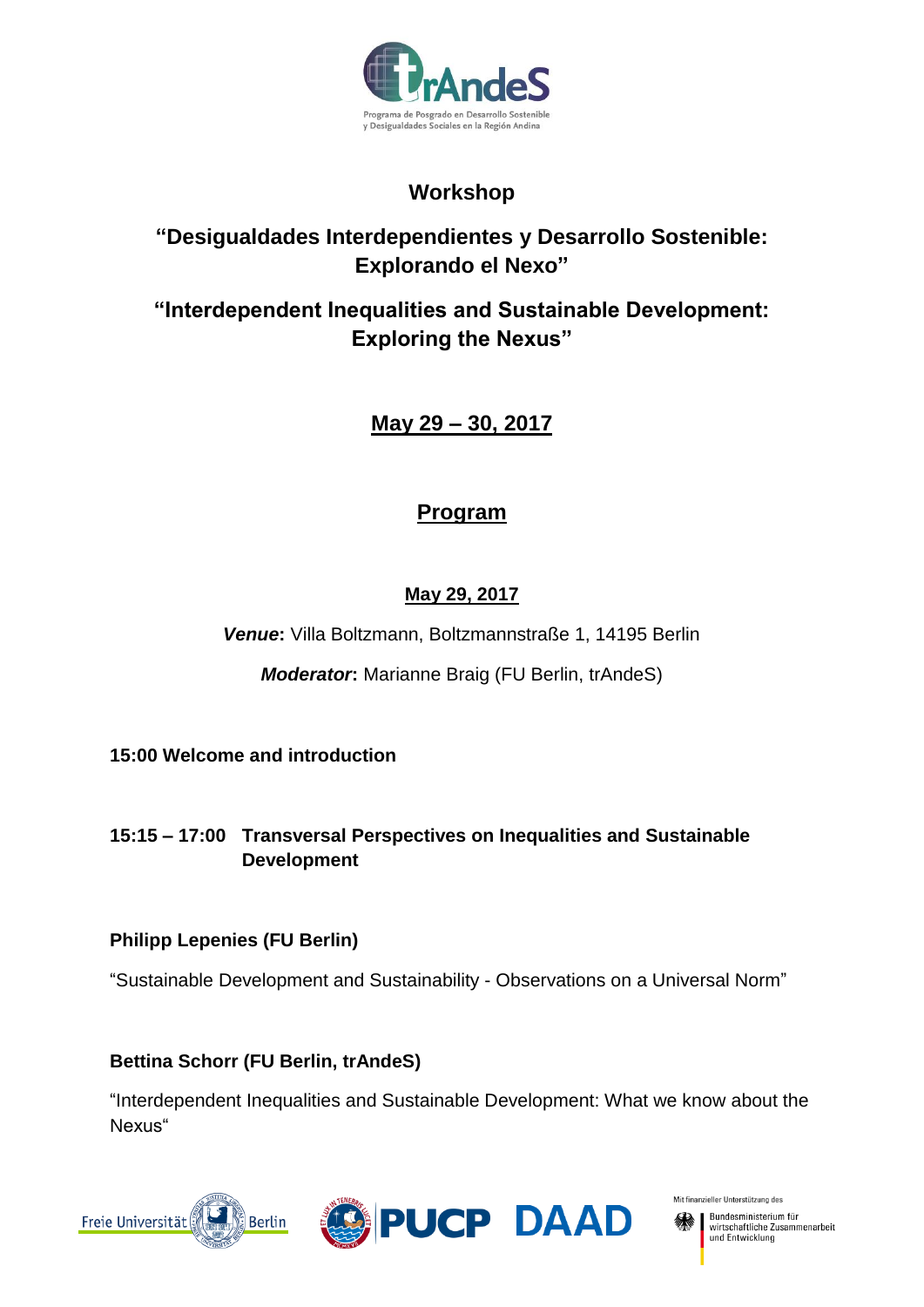

# **Workshop**

# **"Desigualdades Interdependientes y Desarrollo Sostenible: Explorando el Nexo"**

# **"Interdependent Inequalities and Sustainable Development: Exploring the Nexus"**

**May 29 – 30, 2017**

# **Program**

# **May 29, 2017**

*Venue***:** Villa Boltzmann, Boltzmannstraße 1, 14195 Berlin

*Moderator***:** Marianne Braig (FU Berlin, trAndeS)

**15:00 Welcome and introduction**

**15:15 – 17:00 Transversal Perspectives on Inequalities and Sustainable Development** 

## **Philipp Lepenies (FU Berlin)**

"Sustainable Development and Sustainability - Observations on a Universal Norm"

**Bettina Schorr (FU Berlin, trAndeS)**

"Interdependent Inequalities and Sustainable Development: What we know about the Nexus"





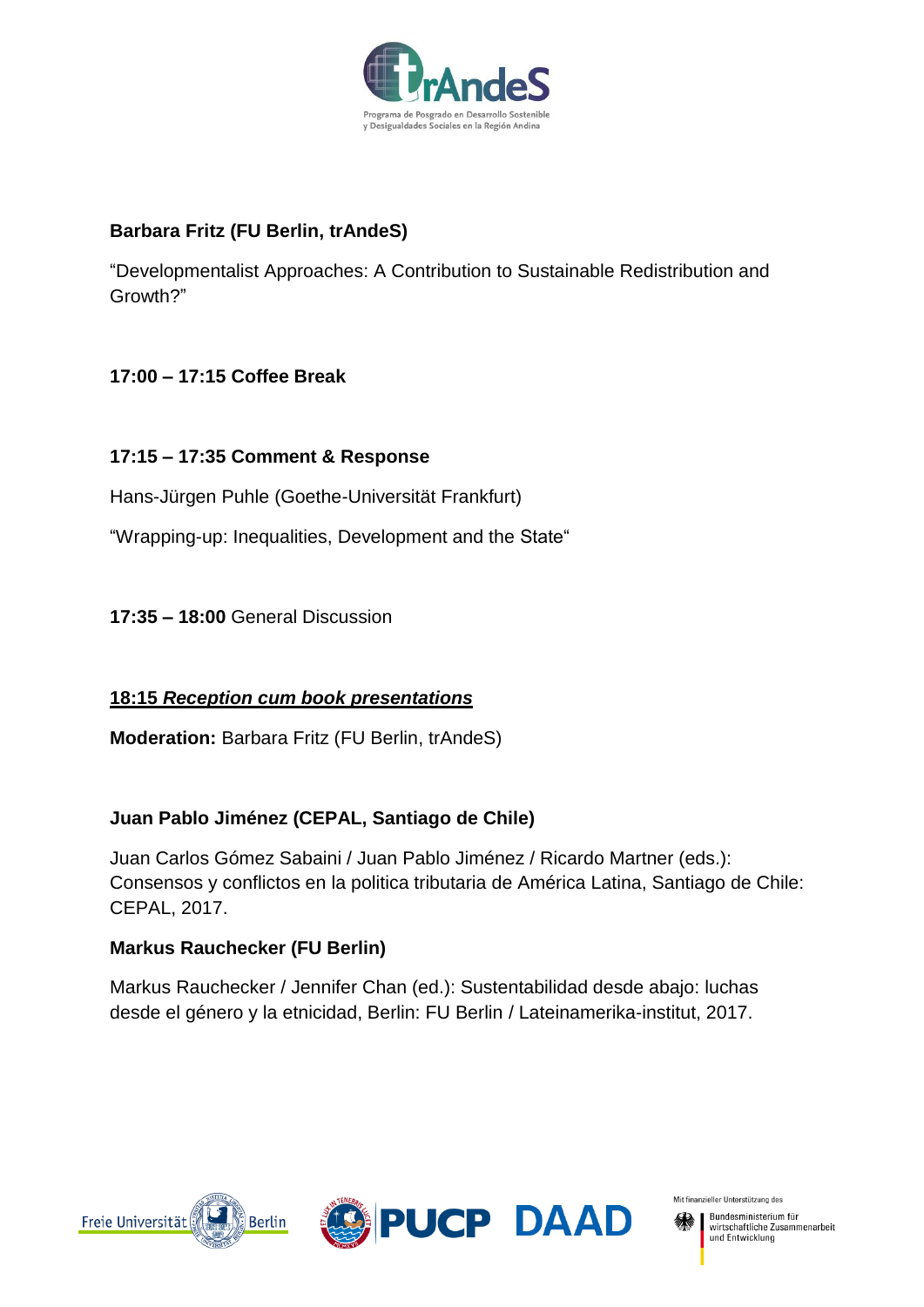

### **Barbara Fritz (FU Berlin, trAndeS)**

"Developmentalist Approaches: A Contribution to Sustainable Redistribution and Growth?"

## **17:00 – 17:15 Coffee Break**

### **17:15 – 17:35 Comment & Response**

Hans-Jürgen Puhle (Goethe-Universität Frankfurt)

"Wrapping-up: Inequalities, Development and the State"

**17:35 – 18:00** General Discussion

### **18:15** *Reception cum book presentations*

**Moderation:** Barbara Fritz (FU Berlin, trAndeS)

### **Juan Pablo Jiménez (CEPAL, Santiago de Chile)**

Juan Carlos Gómez Sabaini / Juan Pablo Jiménez / Ricardo Martner (eds.): Consensos y conflictos en la politica tributaria de América Latina, Santiago de Chile: CEPAL, 2017.

### **Markus Rauchecker (FU Berlin)**

Markus Rauchecker / Jennifer Chan (ed.): Sustentabilidad desde abajo: luchas desde el género y la etnicidad, Berlin: FU Berlin / Lateinamerika-institut, 2017.





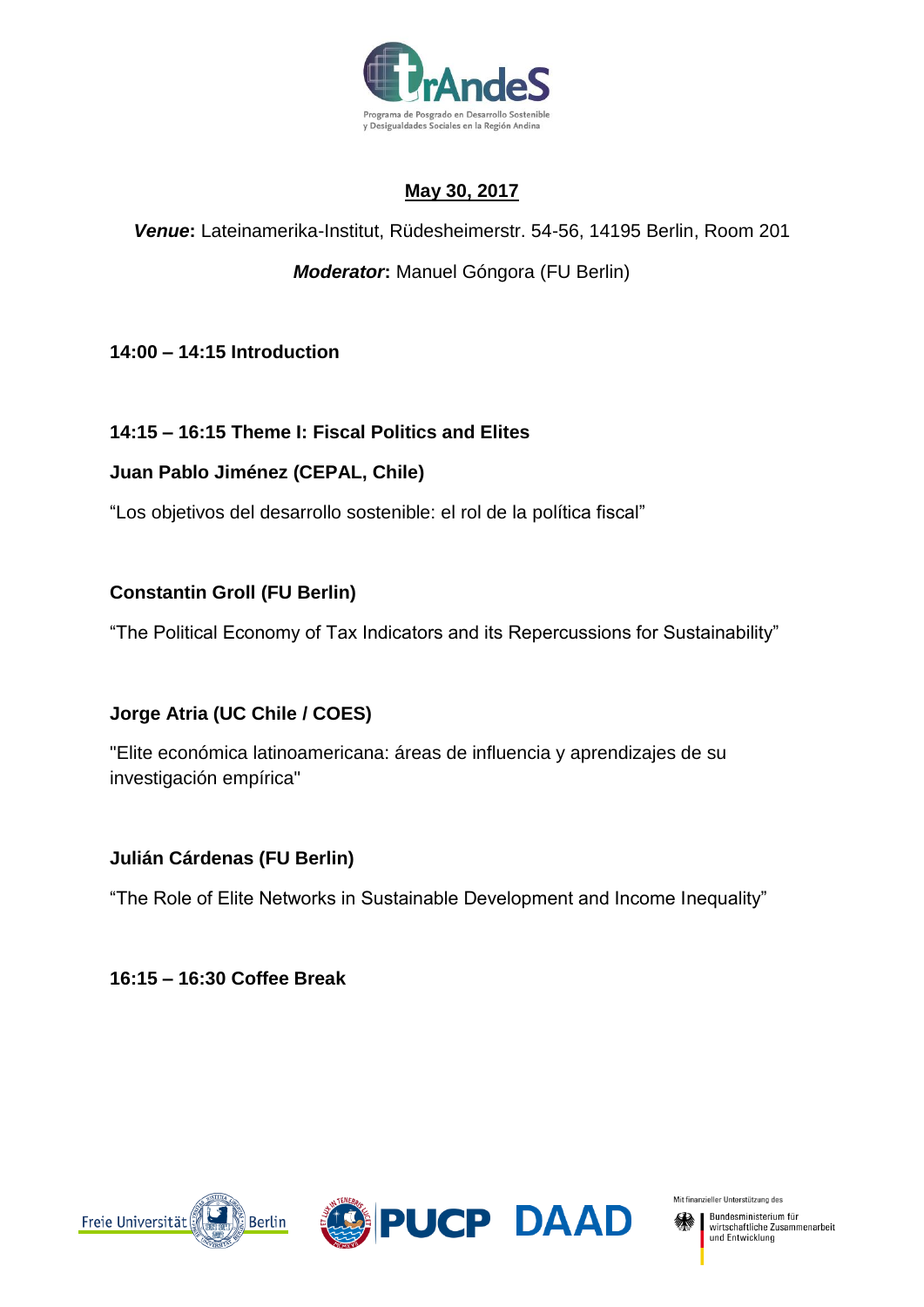

## **May 30, 2017**

## *Venue***:** Lateinamerika-Institut, Rüdesheimerstr. 54-56, 14195 Berlin, Room 201

## *Moderator***:** Manuel Góngora (FU Berlin)

**14:00 – 14:15 Introduction**

## **14:15 – 16:15 Theme I: Fiscal Politics and Elites**

### **Juan Pablo Jiménez (CEPAL, Chile)**

"Los objetivos del desarrollo sostenible: el rol de la política fiscal"

### **Constantin Groll (FU Berlin)**

"The Political Economy of Tax Indicators and its Repercussions for Sustainability"

## **Jorge Atria (UC Chile / COES)**

"Elite económica latinoamericana: áreas de influencia y aprendizajes de su investigación empírica"

## **Julián Cárdenas (FU Berlin)**

"The Role of Elite Networks in Sustainable Development and Income Inequality"

**16:15 – 16:30 Coffee Break**